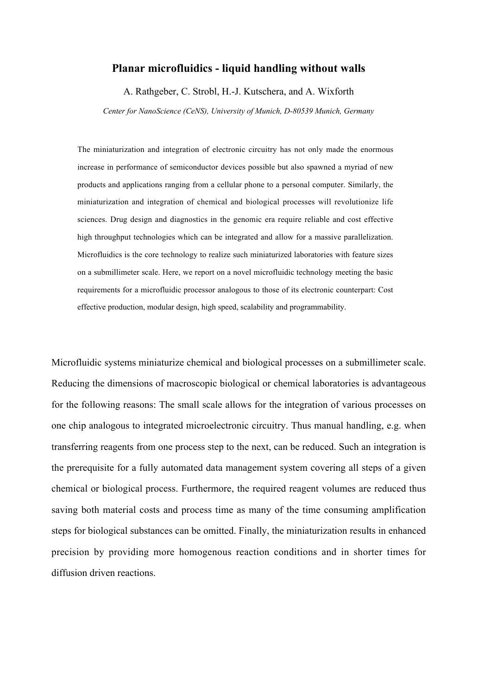## **Planar microfluidics - liquid handling without walls**

A. Rathgeber, C. Strobl, H.-J. Kutschera, and A. Wixforth

*Center for NanoScience (CeNS), University of Munich, D-80539 Munich, Germany*

The miniaturization and integration of electronic circuitry has not only made the enormous increase in performance of semiconductor devices possible but also spawned a myriad of new products and applications ranging from a cellular phone to a personal computer. Similarly, the miniaturization and integration of chemical and biological processes will revolutionize life sciences. Drug design and diagnostics in the genomic era require reliable and cost effective high throughput technologies which can be integrated and allow for a massive parallelization. Microfluidics is the core technology to realize such miniaturized laboratories with feature sizes on a submillimeter scale. Here, we report on a novel microfluidic technology meeting the basic requirements for a microfluidic processor analogous to those of its electronic counterpart: Cost effective production, modular design, high speed, scalability and programmability.

Microfluidic systems miniaturize chemical and biological processes on a submillimeter scale. Reducing the dimensions of macroscopic biological or chemical laboratories is advantageous for the following reasons: The small scale allows for the integration of various processes on one chip analogous to integrated microelectronic circuitry. Thus manual handling, e.g. when transferring reagents from one process step to the next, can be reduced. Such an integration is the prerequisite for a fully automated data management system covering all steps of a given chemical or biological process. Furthermore, the required reagent volumes are reduced thus saving both material costs and process time as many of the time consuming amplification steps for biological substances can be omitted. Finally, the miniaturization results in enhanced precision by providing more homogenous reaction conditions and in shorter times for diffusion driven reactions.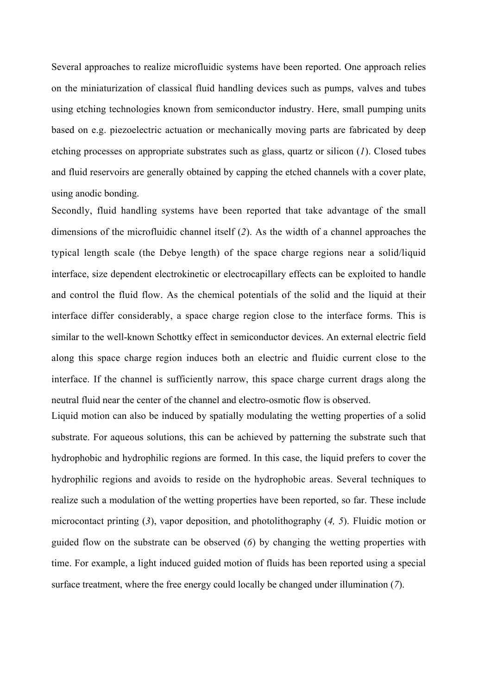Several approaches to realize microfluidic systems have been reported. One approach relies on the miniaturization of classical fluid handling devices such as pumps, valves and tubes using etching technologies known from semiconductor industry. Here, small pumping units based on e.g. piezoelectric actuation or mechanically moving parts are fabricated by deep etching processes on appropriate substrates such as glass, quartz or silicon (*1*). Closed tubes and fluid reservoirs are generally obtained by capping the etched channels with a cover plate, using anodic bonding.

Secondly, fluid handling systems have been reported that take advantage of the small dimensions of the microfluidic channel itself (*2*). As the width of a channel approaches the typical length scale (the Debye length) of the space charge regions near a solid/liquid interface, size dependent electrokinetic or electrocapillary effects can be exploited to handle and control the fluid flow. As the chemical potentials of the solid and the liquid at their interface differ considerably, a space charge region close to the interface forms. This is similar to the well-known Schottky effect in semiconductor devices. An external electric field along this space charge region induces both an electric and fluidic current close to the interface. If the channel is sufficiently narrow, this space charge current drags along the neutral fluid near the center of the channel and electro-osmotic flow is observed.

Liquid motion can also be induced by spatially modulating the wetting properties of a solid substrate. For aqueous solutions, this can be achieved by patterning the substrate such that hydrophobic and hydrophilic regions are formed. In this case, the liquid prefers to cover the hydrophilic regions and avoids to reside on the hydrophobic areas. Several techniques to realize such a modulation of the wetting properties have been reported, so far. These include microcontact printing (*3*), vapor deposition, and photolithography (*4, 5*). Fluidic motion or guided flow on the substrate can be observed (*6*) by changing the wetting properties with time. For example, a light induced guided motion of fluids has been reported using a special surface treatment, where the free energy could locally be changed under illumination (*7*).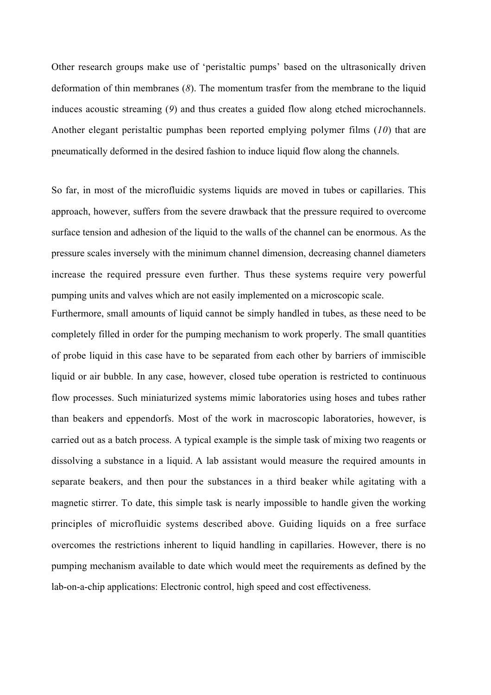Other research groups make use of 'peristaltic pumps' based on the ultrasonically driven deformation of thin membranes (*8*). The momentum trasfer from the membrane to the liquid induces acoustic streaming (*9*) and thus creates a guided flow along etched microchannels. Another elegant peristaltic pumphas been reported emplying polymer films (*10*) that are pneumatically deformed in the desired fashion to induce liquid flow along the channels.

So far, in most of the microfluidic systems liquids are moved in tubes or capillaries. This approach, however, suffers from the severe drawback that the pressure required to overcome surface tension and adhesion of the liquid to the walls of the channel can be enormous. As the pressure scales inversely with the minimum channel dimension, decreasing channel diameters increase the required pressure even further. Thus these systems require very powerful pumping units and valves which are not easily implemented on a microscopic scale.

Furthermore, small amounts of liquid cannot be simply handled in tubes, as these need to be completely filled in order for the pumping mechanism to work properly. The small quantities of probe liquid in this case have to be separated from each other by barriers of immiscible liquid or air bubble. In any case, however, closed tube operation is restricted to continuous flow processes. Such miniaturized systems mimic laboratories using hoses and tubes rather than beakers and eppendorfs. Most of the work in macroscopic laboratories, however, is carried out as a batch process. A typical example is the simple task of mixing two reagents or dissolving a substance in a liquid. A lab assistant would measure the required amounts in separate beakers, and then pour the substances in a third beaker while agitating with a magnetic stirrer. To date, this simple task is nearly impossible to handle given the working principles of microfluidic systems described above. Guiding liquids on a free surface overcomes the restrictions inherent to liquid handling in capillaries. However, there is no pumping mechanism available to date which would meet the requirements as defined by the lab-on-a-chip applications: Electronic control, high speed and cost effectiveness.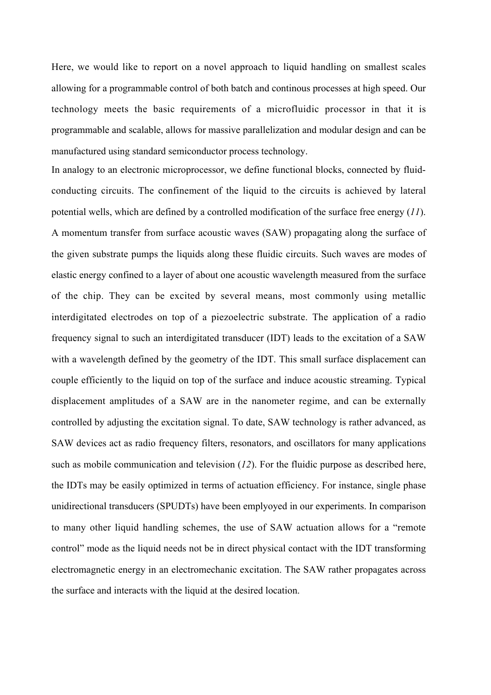Here, we would like to report on a novel approach to liquid handling on smallest scales allowing for a programmable control of both batch and continous processes at high speed. Our technology meets the basic requirements of a microfluidic processor in that it is programmable and scalable, allows for massive parallelization and modular design and can be manufactured using standard semiconductor process technology.

In analogy to an electronic microprocessor, we define functional blocks, connected by fluidconducting circuits. The confinement of the liquid to the circuits is achieved by lateral potential wells, which are defined by a controlled modification of the surface free energy (*11*). A momentum transfer from surface acoustic waves (SAW) propagating along the surface of the given substrate pumps the liquids along these fluidic circuits. Such waves are modes of elastic energy confined to a layer of about one acoustic wavelength measured from the surface of the chip. They can be excited by several means, most commonly using metallic interdigitated electrodes on top of a piezoelectric substrate. The application of a radio frequency signal to such an interdigitated transducer (IDT) leads to the excitation of a SAW with a wavelength defined by the geometry of the IDT. This small surface displacement can couple efficiently to the liquid on top of the surface and induce acoustic streaming. Typical displacement amplitudes of a SAW are in the nanometer regime, and can be externally controlled by adjusting the excitation signal. To date, SAW technology is rather advanced, as SAW devices act as radio frequency filters, resonators, and oscillators for many applications such as mobile communication and television (*12*). For the fluidic purpose as described here, the IDTs may be easily optimized in terms of actuation efficiency. For instance, single phase unidirectional transducers (SPUDTs) have been emplyoyed in our experiments. In comparison to many other liquid handling schemes, the use of SAW actuation allows for a "remote control" mode as the liquid needs not be in direct physical contact with the IDT transforming electromagnetic energy in an electromechanic excitation. The SAW rather propagates across the surface and interacts with the liquid at the desired location.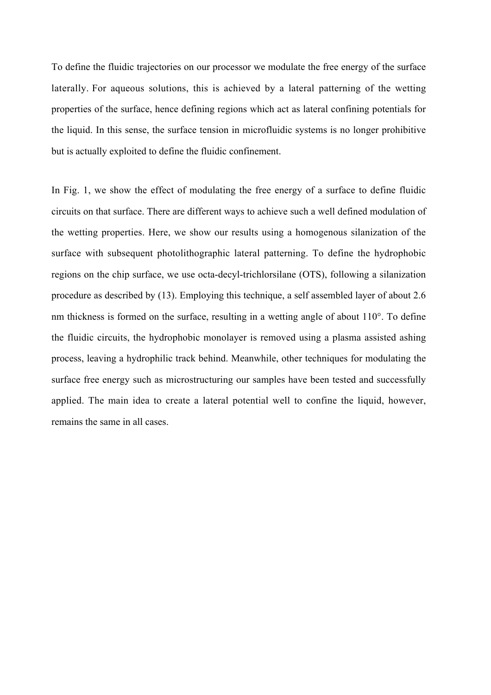To define the fluidic trajectories on our processor we modulate the free energy of the surface laterally. For aqueous solutions, this is achieved by a lateral patterning of the wetting properties of the surface, hence defining regions which act as lateral confining potentials for the liquid. In this sense, the surface tension in microfluidic systems is no longer prohibitive but is actually exploited to define the fluidic confinement.

In Fig. 1, we show the effect of modulating the free energy of a surface to define fluidic circuits on that surface. There are different ways to achieve such a well defined modulation of the wetting properties. Here, we show our results using a homogenous silanization of the surface with subsequent photolithographic lateral patterning. To define the hydrophobic regions on the chip surface, we use octa-decyl-trichlorsilane (OTS), following a silanization procedure as described by (13). Employing this technique, a self assembled layer of about 2.6 nm thickness is formed on the surface, resulting in a wetting angle of about 110°. To define the fluidic circuits, the hydrophobic monolayer is removed using a plasma assisted ashing process, leaving a hydrophilic track behind. Meanwhile, other techniques for modulating the surface free energy such as microstructuring our samples have been tested and successfully applied. The main idea to create a lateral potential well to confine the liquid, however, remains the same in all cases.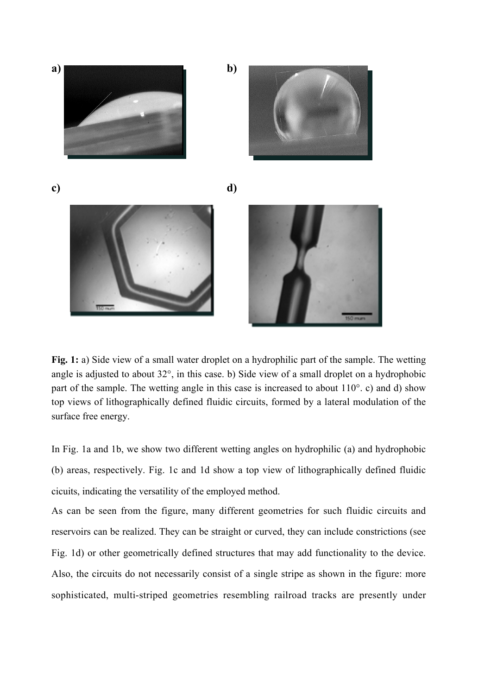

**Fig. 1:** a) Side view of a small water droplet on a hydrophilic part of the sample. The wetting angle is adjusted to about 32°, in this case. b) Side view of a small droplet on a hydrophobic part of the sample. The wetting angle in this case is increased to about 110°. c) and d) show top views of lithographically defined fluidic circuits, formed by a lateral modulation of the surface free energy.

In Fig. 1a and 1b, we show two different wetting angles on hydrophilic (a) and hydrophobic (b) areas, respectively. Fig. 1c and 1d show a top view of lithographically defined fluidic cicuits, indicating the versatility of the employed method.

As can be seen from the figure, many different geometries for such fluidic circuits and reservoirs can be realized. They can be straight or curved, they can include constrictions (see Fig. 1d) or other geometrically defined structures that may add functionality to the device. Also, the circuits do not necessarily consist of a single stripe as shown in the figure: more sophisticated, multi-striped geometries resembling railroad tracks are presently under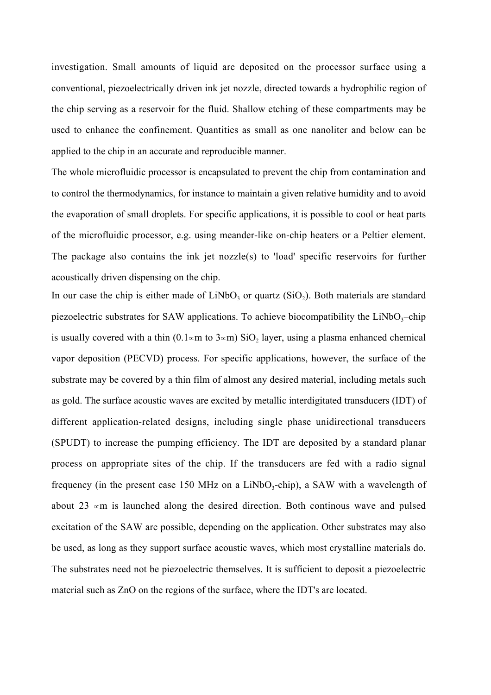investigation. Small amounts of liquid are deposited on the processor surface using a conventional, piezoelectrically driven ink jet nozzle, directed towards a hydrophilic region of the chip serving as a reservoir for the fluid. Shallow etching of these compartments may be used to enhance the confinement. Quantities as small as one nanoliter and below can be applied to the chip in an accurate and reproducible manner.

The whole microfluidic processor is encapsulated to prevent the chip from contamination and to control the thermodynamics, for instance to maintain a given relative humidity and to avoid the evaporation of small droplets. For specific applications, it is possible to cool or heat parts of the microfluidic processor, e.g. using meander-like on-chip heaters or a Peltier element. The package also contains the ink jet nozzle(s) to 'load' specific reservoirs for further acoustically driven dispensing on the chip.

In our case the chip is either made of  $LiNbO<sub>3</sub>$  or quartz (SiO<sub>2</sub>). Both materials are standard piezoelectric substrates for SAW applications. To achieve biocompatibility the  $LiNbO<sub>3</sub>$ -chip is usually covered with a thin (0.1 $\propto$ m to 3 $\propto$ m) SiO<sub>2</sub> layer, using a plasma enhanced chemical vapor deposition (PECVD) process. For specific applications, however, the surface of the substrate may be covered by a thin film of almost any desired material, including metals such as gold. The surface acoustic waves are excited by metallic interdigitated transducers (IDT) of different application-related designs, including single phase unidirectional transducers (SPUDT) to increase the pumping efficiency. The IDT are deposited by a standard planar process on appropriate sites of the chip. If the transducers are fed with a radio signal frequency (in the present case 150 MHz on a  $LiNbO<sub>3</sub>$ -chip), a SAW with a wavelength of about 23  $\alpha$ m is launched along the desired direction. Both continous wave and pulsed excitation of the SAW are possible, depending on the application. Other substrates may also be used, as long as they support surface acoustic waves, which most crystalline materials do. The substrates need not be piezoelectric themselves. It is sufficient to deposit a piezoelectric material such as ZnO on the regions of the surface, where the IDT's are located.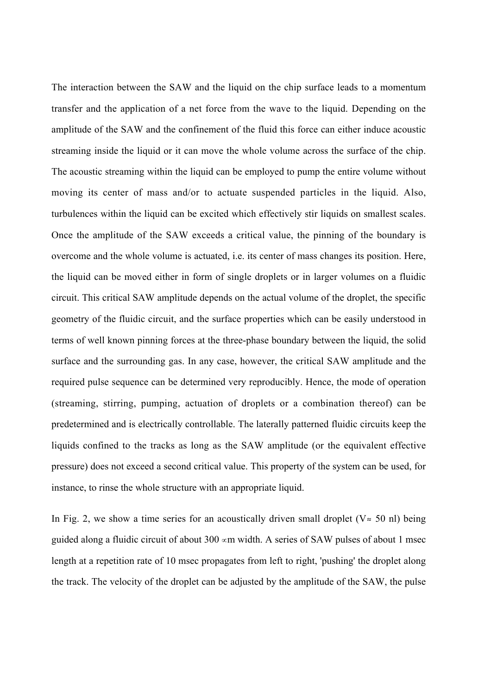The interaction between the SAW and the liquid on the chip surface leads to a momentum transfer and the application of a net force from the wave to the liquid. Depending on the amplitude of the SAW and the confinement of the fluid this force can either induce acoustic streaming inside the liquid or it can move the whole volume across the surface of the chip. The acoustic streaming within the liquid can be employed to pump the entire volume without moving its center of mass and/or to actuate suspended particles in the liquid. Also, turbulences within the liquid can be excited which effectively stir liquids on smallest scales. Once the amplitude of the SAW exceeds a critical value, the pinning of the boundary is overcome and the whole volume is actuated, i.e. its center of mass changes its position. Here, the liquid can be moved either in form of single droplets or in larger volumes on a fluidic circuit. This critical SAW amplitude depends on the actual volume of the droplet, the specific geometry of the fluidic circuit, and the surface properties which can be easily understood in terms of well known pinning forces at the three-phase boundary between the liquid, the solid surface and the surrounding gas. In any case, however, the critical SAW amplitude and the required pulse sequence can be determined very reproducibly. Hence, the mode of operation (streaming, stirring, pumping, actuation of droplets or a combination thereof) can be predetermined and is electrically controllable. The laterally patterned fluidic circuits keep the liquids confined to the tracks as long as the SAW amplitude (or the equivalent effective pressure) does not exceed a second critical value. This property of the system can be used, for instance, to rinse the whole structure with an appropriate liquid.

In Fig. 2, we show a time series for an acoustically driven small droplet ( $V \approx 50$  nl) being guided along a fluidic circuit of about 300  $\alpha$ m width. A series of SAW pulses of about 1 msec length at a repetition rate of 10 msec propagates from left to right, 'pushing' the droplet along the track. The velocity of the droplet can be adjusted by the amplitude of the SAW, the pulse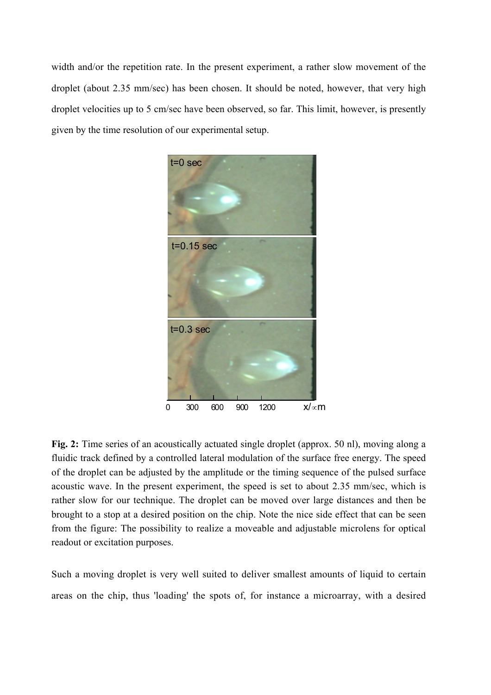width and/or the repetition rate. In the present experiment, a rather slow movement of the droplet (about 2.35 mm/sec) has been chosen. It should be noted, however, that very high droplet velocities up to 5 cm/sec have been observed, so far. This limit, however, is presently given by the time resolution of our experimental setup.



**Fig. 2:** Time series of an acoustically actuated single droplet (approx. 50 nl), moving along a fluidic track defined by a controlled lateral modulation of the surface free energy. The speed of the droplet can be adjusted by the amplitude or the timing sequence of the pulsed surface acoustic wave. In the present experiment, the speed is set to about 2.35 mm/sec, which is rather slow for our technique. The droplet can be moved over large distances and then be brought to a stop at a desired position on the chip. Note the nice side effect that can be seen from the figure: The possibility to realize a moveable and adjustable microlens for optical readout or excitation purposes.

Such a moving droplet is very well suited to deliver smallest amounts of liquid to certain areas on the chip, thus 'loading' the spots of, for instance a microarray, with a desired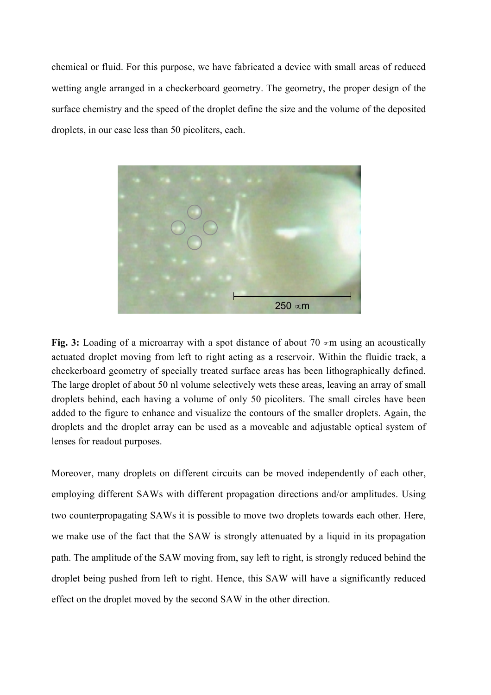chemical or fluid. For this purpose, we have fabricated a device with small areas of reduced wetting angle arranged in a checkerboard geometry. The geometry, the proper design of the surface chemistry and the speed of the droplet define the size and the volume of the deposited droplets, in our case less than 50 picoliters, each.



**Fig.** 3: Loading of a microarray with a spot distance of about 70  $\alpha$ m using an acoustically actuated droplet moving from left to right acting as a reservoir. Within the fluidic track, a checkerboard geometry of specially treated surface areas has been lithographically defined. The large droplet of about 50 nl volume selectively wets these areas, leaving an array of small droplets behind, each having a volume of only 50 picoliters. The small circles have been added to the figure to enhance and visualize the contours of the smaller droplets. Again, the droplets and the droplet array can be used as a moveable and adjustable optical system of lenses for readout purposes.

Moreover, many droplets on different circuits can be moved independently of each other, employing different SAWs with different propagation directions and/or amplitudes. Using two counterpropagating SAWs it is possible to move two droplets towards each other. Here, we make use of the fact that the SAW is strongly attenuated by a liquid in its propagation path. The amplitude of the SAW moving from, say left to right, is strongly reduced behind the droplet being pushed from left to right. Hence, this SAW will have a significantly reduced effect on the droplet moved by the second SAW in the other direction.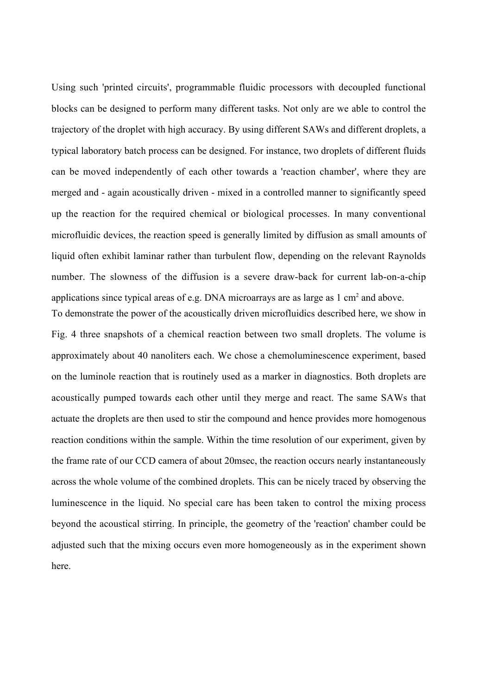Using such 'printed circuits', programmable fluidic processors with decoupled functional blocks can be designed to perform many different tasks. Not only are we able to control the trajectory of the droplet with high accuracy. By using different SAWs and different droplets, a typical laboratory batch process can be designed. For instance, two droplets of different fluids can be moved independently of each other towards a 'reaction chamber', where they are merged and - again acoustically driven - mixed in a controlled manner to significantly speed up the reaction for the required chemical or biological processes. In many conventional microfluidic devices, the reaction speed is generally limited by diffusion as small amounts of liquid often exhibit laminar rather than turbulent flow, depending on the relevant Raynolds number. The slowness of the diffusion is a severe draw-back for current lab-on-a-chip applications since typical areas of e.g. DNA microarrays are as large as  $1 \text{ cm}^2$  and above.

To demonstrate the power of the acoustically driven microfluidics described here, we show in Fig. 4 three snapshots of a chemical reaction between two small droplets. The volume is approximately about 40 nanoliters each. We chose a chemoluminescence experiment, based on the luminole reaction that is routinely used as a marker in diagnostics. Both droplets are acoustically pumped towards each other until they merge and react. The same SAWs that actuate the droplets are then used to stir the compound and hence provides more homogenous reaction conditions within the sample. Within the time resolution of our experiment, given by the frame rate of our CCD camera of about 20msec, the reaction occurs nearly instantaneously across the whole volume of the combined droplets. This can be nicely traced by observing the luminescence in the liquid. No special care has been taken to control the mixing process beyond the acoustical stirring. In principle, the geometry of the 'reaction' chamber could be adjusted such that the mixing occurs even more homogeneously as in the experiment shown here.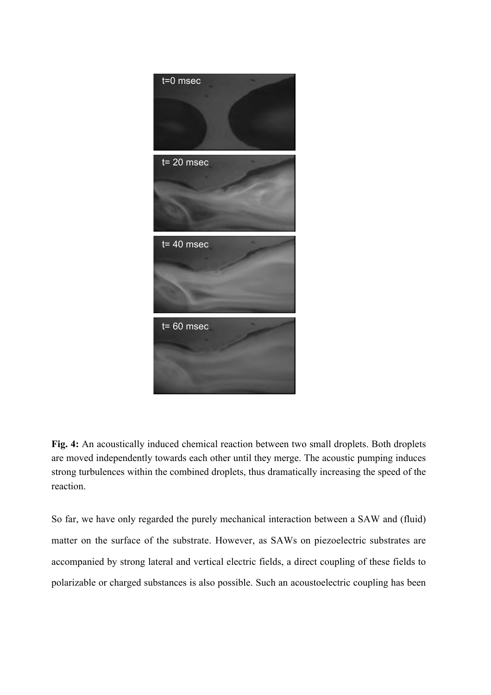

**Fig. 4:** An acoustically induced chemical reaction between two small droplets. Both droplets are moved independently towards each other until they merge. The acoustic pumping induces strong turbulences within the combined droplets, thus dramatically increasing the speed of the reaction.

So far, we have only regarded the purely mechanical interaction between a SAW and (fluid) matter on the surface of the substrate. However, as SAWs on piezoelectric substrates are accompanied by strong lateral and vertical electric fields, a direct coupling of these fields to polarizable or charged substances is also possible. Such an acoustoelectric coupling has been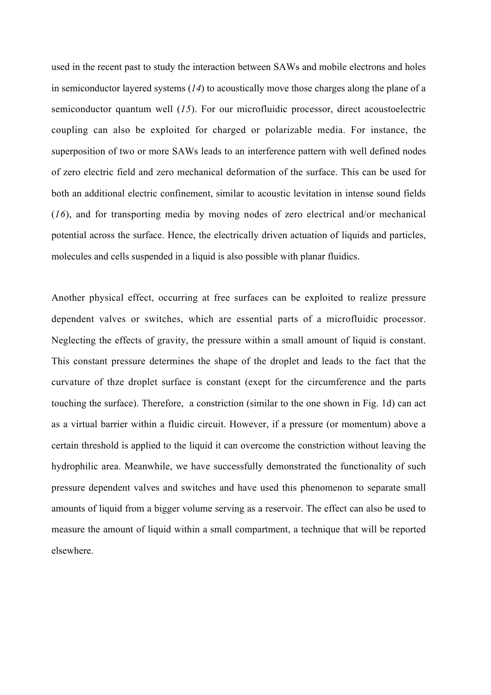used in the recent past to study the interaction between SAWs and mobile electrons and holes in semiconductor layered systems (*14*) to acoustically move those charges along the plane of a semiconductor quantum well (*15*). For our microfluidic processor, direct acoustoelectric coupling can also be exploited for charged or polarizable media. For instance, the superposition of two or more SAWs leads to an interference pattern with well defined nodes of zero electric field and zero mechanical deformation of the surface. This can be used for both an additional electric confinement, similar to acoustic levitation in intense sound fields (*16*), and for transporting media by moving nodes of zero electrical and/or mechanical potential across the surface. Hence, the electrically driven actuation of liquids and particles, molecules and cells suspended in a liquid is also possible with planar fluidics.

Another physical effect, occurring at free surfaces can be exploited to realize pressure dependent valves or switches, which are essential parts of a microfluidic processor. Neglecting the effects of gravity, the pressure within a small amount of liquid is constant. This constant pressure determines the shape of the droplet and leads to the fact that the curvature of thze droplet surface is constant (exept for the circumference and the parts touching the surface). Therefore, a constriction (similar to the one shown in Fig. 1d) can act as a virtual barrier within a fluidic circuit. However, if a pressure (or momentum) above a certain threshold is applied to the liquid it can overcome the constriction without leaving the hydrophilic area. Meanwhile, we have successfully demonstrated the functionality of such pressure dependent valves and switches and have used this phenomenon to separate small amounts of liquid from a bigger volume serving as a reservoir. The effect can also be used to measure the amount of liquid within a small compartment, a technique that will be reported elsewhere.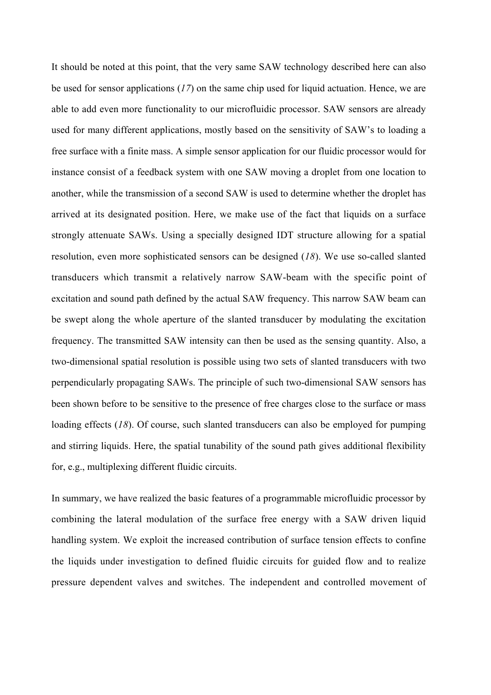It should be noted at this point, that the very same SAW technology described here can also be used for sensor applications (*17*) on the same chip used for liquid actuation. Hence, we are able to add even more functionality to our microfluidic processor. SAW sensors are already used for many different applications, mostly based on the sensitivity of SAW's to loading a free surface with a finite mass. A simple sensor application for our fluidic processor would for instance consist of a feedback system with one SAW moving a droplet from one location to another, while the transmission of a second SAW is used to determine whether the droplet has arrived at its designated position. Here, we make use of the fact that liquids on a surface strongly attenuate SAWs. Using a specially designed IDT structure allowing for a spatial resolution, even more sophisticated sensors can be designed (*18*). We use so-called slanted transducers which transmit a relatively narrow SAW-beam with the specific point of excitation and sound path defined by the actual SAW frequency. This narrow SAW beam can be swept along the whole aperture of the slanted transducer by modulating the excitation frequency. The transmitted SAW intensity can then be used as the sensing quantity. Also, a two-dimensional spatial resolution is possible using two sets of slanted transducers with two perpendicularly propagating SAWs. The principle of such two-dimensional SAW sensors has been shown before to be sensitive to the presence of free charges close to the surface or mass loading effects (*18*). Of course, such slanted transducers can also be employed for pumping and stirring liquids. Here, the spatial tunability of the sound path gives additional flexibility for, e.g., multiplexing different fluidic circuits.

In summary, we have realized the basic features of a programmable microfluidic processor by combining the lateral modulation of the surface free energy with a SAW driven liquid handling system. We exploit the increased contribution of surface tension effects to confine the liquids under investigation to defined fluidic circuits for guided flow and to realize pressure dependent valves and switches. The independent and controlled movement of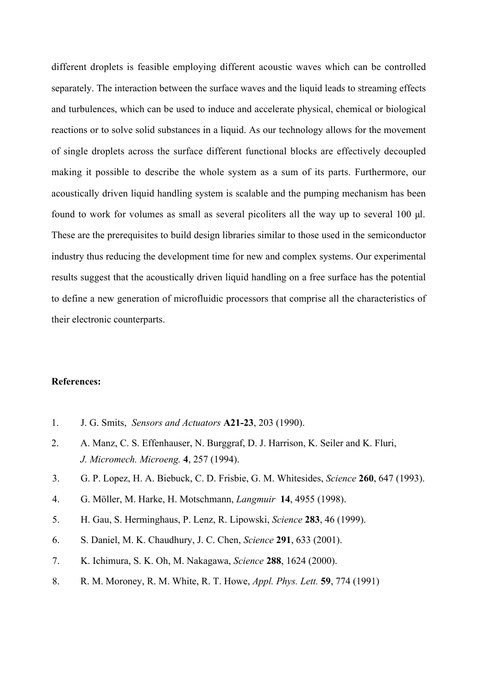different droplets is feasible employing different acoustic waves which can be controlled separately. The interaction between the surface waves and the liquid leads to streaming effects and turbulences, which can be used to induce and accelerate physical, chemical or biological reactions or to solve solid substances in a liquid. As our technology allows for the movement of single droplets across the surface different functional blocks are effectively decoupled making it possible to describe the whole system as a sum of its parts. Furthermore, our acoustically driven liquid handling system is scalable and the pumping mechanism has been found to work for volumes as small as several picoliters all the way up to several 100 µl. These are the prerequisites to build design libraries similar to those used in the semiconductor industry thus reducing the development time for new and complex systems. Our experimental results suggest that the acoustically driven liquid handling on a free surface has the potential to define a new generation of microfluidic processors that comprise all the characteristics of their electronic counterparts.

## **References:**

- 1. J. G. Smits, *Sensors and Actuators* **A21-23**, 203 (1990).
- 2. A. Manz, C. S. Effenhauser, N. Burggraf, D. J. Harrison, K. Seiler and K. Fluri, *J. Micromech. Microeng.* **4**, 257 (1994).
- 3. G. P. Lopez, H. A. Biebuck, C. D. Frisbie, G. M. Whitesides, *Science* **260**, 647 (1993).
- 4. G. Möller, M. Harke, H. Motschmann, *Langmuir* **14**, 4955 (1998).
- 5. H. Gau, S. Herminghaus, P. Lenz, R. Lipowski, *Science* **283**, 46 (1999).
- 6. S. Daniel, M. K. Chaudhury, J. C. Chen, *Science* **291**, 633 (2001).
- 7. K. Ichimura, S. K. Oh, M. Nakagawa, *Science* **288**, 1624 (2000).
- 8. R. M. Moroney, R. M. White, R. T. Howe, *Appl. Phys. Lett.* **59**, 774 (1991)